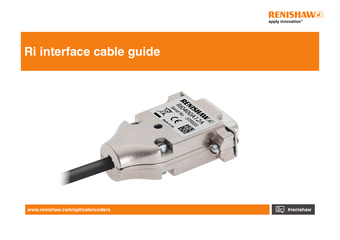

# **Ri interface cable guide**





**[www.renishaw.com/opticalencoders](https://www.renishaw.com/en/open-optical-encoders--6433) #renishaw**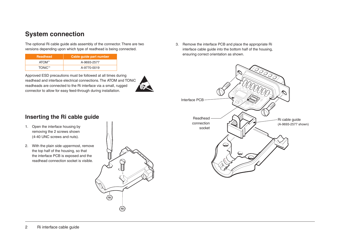## **System connection**

The optional Ri cable guide aids assembly of the connector. There are two versions depending upon which type of readhead is being connected.

| Readhead | Cable guide part number |
|----------|-------------------------|
| ATOM™    | A-9693-2577             |
| TONiC™   | A-9770-0019             |

Approved ESD precautions must be followed at all times during readhead and interface electrical connections. The ATOM and TONiC readheads are connected to the Ri interface via a small, rugged connector to allow for easy feed-through during installation.



3. Remove the interface PCB and place the appropriate Ri interface cable guide into the bottom half of the housing, ensuring correct orientation as shown.



### **Inserting the Ri cable guide**

- 1. Open the interface housing by removing the 2 screws shown (4-40 UNC screws and nuts).
- 2. With the plain side uppermost, remove the top half of the housing, so that the interface PCB is exposed and the readhead connection socket is visible.

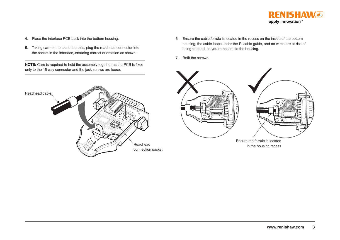

- 4. Place the interface PCB back into the bottom housing.
- 5. Taking care not to touch the pins, plug the readhead connector into the socket in the interface, ensuring correct orientation as shown.

**NOTE:** Care is required to hold the assembly together as the PCB is fixed only to the 15 way connector and the jack screws are loose.



- 6. Ensure the cable ferrule is located in the recess on the inside of the bottom housing, the cable loops under the Ri cable guide, and no wires are at risk of being trapped, as you re-assemble the housing.
- 7. Refit the screws.